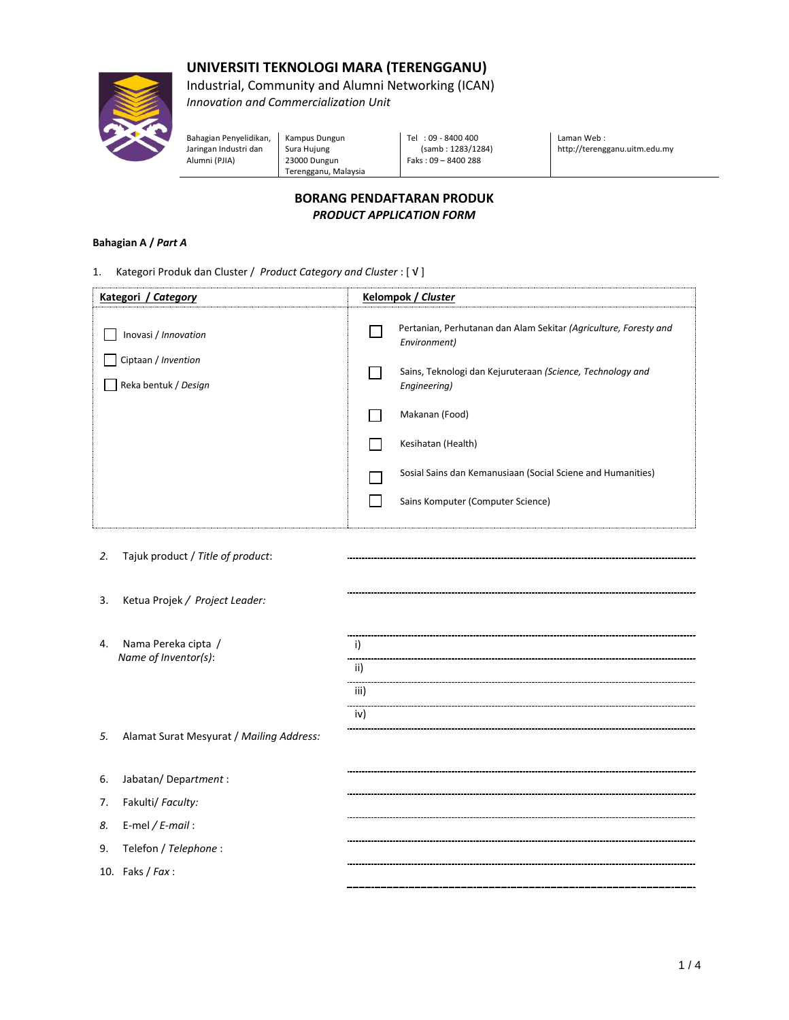# **UNIVERSITI TEKNOLOGI MARA (TERENGGANU)**



Industrial, Community and Alumni Networking (ICAN) *Innovation and Commercialization Unit*

Bahagian Penyelidikan, Jaringan Industri dan Alumni (PJIA) Kampus Dungun Sura Hujung 23000 Dungun Terengganu, Malaysia Tel : 09 - 8400 400 (samb : 1283/1284) Faks : 09 – 8400 288

Laman Web : http://terengganu.uitm.edu.my

# **BORANG PENDAFTARAN PRODUK**  *PRODUCT APPLICATION FORM*

#### **Bahagian A /** *Part A*

1. Kategori Produk dan Cluster / *Product Category and Cluster* : [ √ ]

| Kategori / Category                                                 | <b>Kelompok / Cluster</b>                                                                                                                                                                                                                                                                                  |
|---------------------------------------------------------------------|------------------------------------------------------------------------------------------------------------------------------------------------------------------------------------------------------------------------------------------------------------------------------------------------------------|
| Inovasi / Innovation<br>Ciptaan / Invention<br>Reka bentuk / Design | Pertanian, Perhutanan dan Alam Sekitar (Agriculture, Foresty and<br>Environment)<br>Sains, Teknologi dan Kejuruteraan (Science, Technology and<br>Engineering)<br>Makanan (Food)<br>Kesihatan (Health)<br>Sosial Sains dan Kemanusiaan (Social Sciene and Humanities)<br>Sains Komputer (Computer Science) |
| Tajuk product / Title of product:<br>2.                             |                                                                                                                                                                                                                                                                                                            |
| Ketua Projek / Project Leader:<br>3.                                |                                                                                                                                                                                                                                                                                                            |
| Nama Pereka cipta /<br>4.<br>Name of Inventor(s):                   | i)<br>ii)<br>iii)                                                                                                                                                                                                                                                                                          |
|                                                                     | iv)                                                                                                                                                                                                                                                                                                        |

*5.* Alamat Surat Mesyurat / *Mailing Address:*

| 6. Jabatan/Department:   |  |
|--------------------------|--|
| 7. Fakulti/ Faculty:     |  |
| 8. E-mel $/E$ -mail:     |  |
| 9. Telefon / Telephone : |  |
| 10. Faks / $Fax$ :       |  |
|                          |  |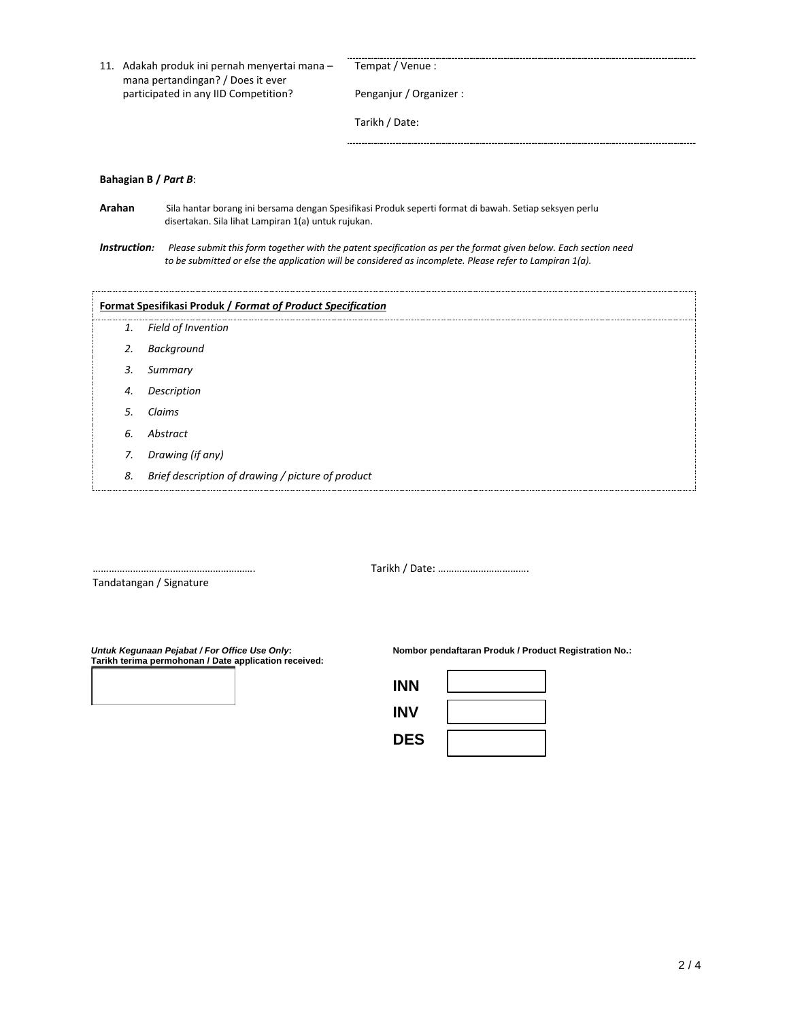| 11. Adakah produk ini pernah menyertai mana - |  |
|-----------------------------------------------|--|
| mana pertandingan? / Does it ever             |  |
| participated in any IID Competition?          |  |

Tempat / Venue :

Penganjur / Organizer :

Tarikh / Date:

#### **Bahagian B /** *Part B*:

- **Arahan** Sila hantar borang ini bersama dengan Spesifikasi Produk seperti format di bawah. Setiap seksyen perlu disertakan. Sila lihat Lampiran 1(a) untuk rujukan.
- *Instruction: Please submit this form together with the patent specification as per the format given below. Each section need to be submitted or else the application will be considered as incomplete. Please refer to Lampiran 1(a).*

| <b>Format Spesifikasi Produk / Format of Product Specification</b> |                                                   |  |
|--------------------------------------------------------------------|---------------------------------------------------|--|
| 1.                                                                 | Field of Invention                                |  |
| 2.                                                                 | Background                                        |  |
| 3.                                                                 | Summary                                           |  |
| 4.                                                                 | Description                                       |  |
| 5.                                                                 | Claims                                            |  |
| 6.                                                                 | Abstract                                          |  |
| 7.                                                                 | Drawing (if any)                                  |  |
| 8.                                                                 | Brief description of drawing / picture of product |  |

Tandatangan / Signature

……………………………………………………. Tarikh / Date: …………………………….

*Untuk Kegunaan Pejabat / For Office Use Only***: Tarikh terima permohonan / Date application received:** **Nombor pendaftaran Produk / Product Registration No.:**

| <b>INN</b> |  |
|------------|--|
| <b>INV</b> |  |
| <b>DES</b> |  |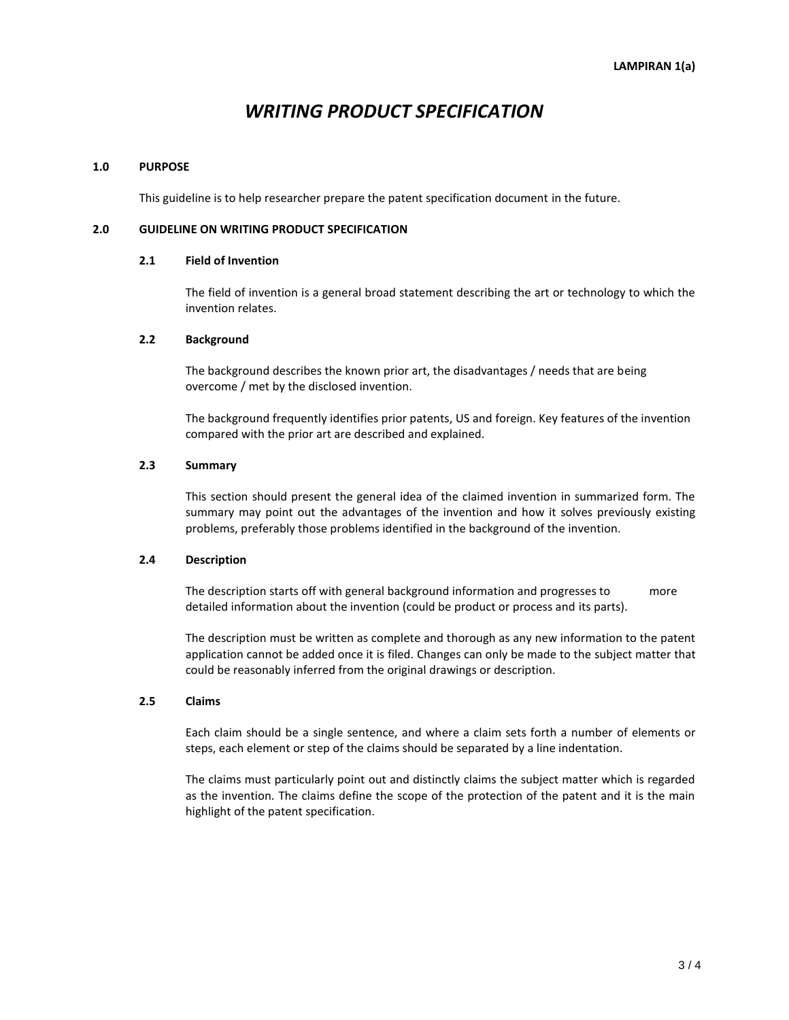# *WRITING PRODUCT SPECIFICATION*

#### **1.0 PURPOSE**

This guideline is to help researcher prepare the patent specification document in the future.

#### **2.0 GUIDELINE ON WRITING PRODUCT SPECIFICATION**

#### **2.1 Field of Invention**

The field of invention is a general broad statement describing the art or technology to which the invention relates.

#### **2.2 Background**

The background describes the known prior art, the disadvantages / needs that are being overcome / met by the disclosed invention.

The background frequently identifies prior patents, US and foreign. Key features of the invention compared with the prior art are described and explained.

#### **2.3 Summary**

This section should present the general idea of the claimed invention in summarized form. The summary may point out the advantages of the invention and how it solves previously existing problems, preferably those problems identified in the background of the invention.

#### **2.4 Description**

The description starts off with general background information and progresses to more detailed information about the invention (could be product or process and its parts).

The description must be written as complete and thorough as any new information to the patent application cannot be added once it is [filed.](http://inventors.about.com/library/weekly/aapatentdescriptionsa.htm#file#file) Changes can only be made to the [subject matter](http://inventors.about.com/library/weekly/aapatentdescriptionsa.htm#Subject matter#Subject matter) that could be reasonably inferred from the original drawings or description.

#### **2.5 Claims**

Each claim should be a single sentence, and where a claim sets forth a number of elements or steps, each element or step of the claims should be separated by a line indentation.

The claims must particularly point out and distinctly claims the subject matter which is regarded as the invention. The claims define the scope of the protection of the patent and it is the main highlight of the patent specification.